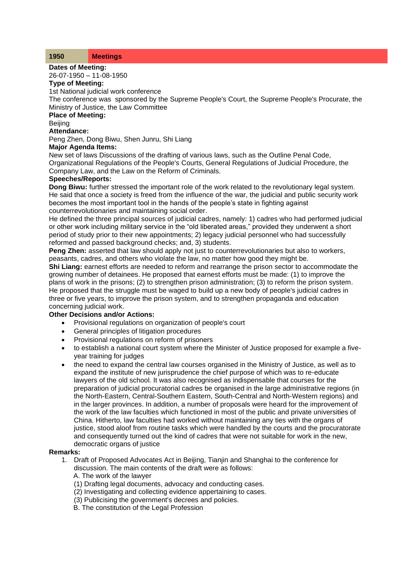#### **1950 Meetings**

**Dates of Meeting:**

26-07-1950 – 11-08-1950

# **Type of Meeting:**

1st National judicial work conference

The conference was sponsored by the Supreme People's Court, the Supreme People's Procurate, the Ministry of Justice, the Law Committee

# **Place of Meeting:**

**Beijing** 

## **Attendance:**

Peng Zhen, Dong Biwu, Shen Junru, Shi Liang

## **Major Agenda Items:**

New set of laws Discussions of the drafting of various laws, such as the Outline Penal Code, Organizational Regulations of the People's Courts, General Regulations of Judicial Procedure, the Company Law, and the Law on the Reform of Criminals.

## **Speeches/Reports:**

**Dong Biwu:** further stressed the important role of the work related to the revolutionary legal system. He said that once a society is freed from the influence of the war, the judicial and public security work becomes the most important tool in the hands of the people's state in fighting against counterrevolutionaries and maintaining social order.

He defined the three principal sources of judicial cadres, namely: 1) cadres who had performed judicial or other work including military service in the "old liberated areas," provided they underwent a short period of study prior to their new appointments; 2) legacy judicial personnel who had successfully reformed and passed background checks; and, 3) students.

**Peng Zhen:** asserted that law should apply not just to counterrevolutionaries but also to workers, peasants, cadres, and others who violate the law, no matter how good they might be.

**Shi Liang:** earnest efforts are needed to reform and rearrange the prison sector to accommodate the growing number of detainees. He proposed that earnest efforts must be made: (1) to improve the plans of work in the prisons; (2) to strengthen prison administration; (3) to reform the prison system. He proposed that the struggle must be waged to build up a new body of people's judicial cadres in three or five years, to improve the prison system, and to strengthen propaganda and education concerning judicial work.

## **Other Decisions and/or Actions:**

- Provisional regulations on organization of people's court
- General principles of litigation procedures
- Provisional regulations on reform of prisoners
- to establish a national court system where the Minister of Justice proposed for example a fiveyear training for judges
- the need to expand the central law courses organised in the Ministry of Justice, as well as to expand the institute of new jurisprudence the chief purpose of which was to re-educate lawyers of the old school. It was also recognised as indispensable that courses for the preparation of judicial procuratorial cadres be organised in the large administrative regions (in the North-Eastern, Central-Southern Eastern, South-Central and North-Western regions) and in the larger provinces. In addition, a number of proposals were heard for the improvement of the work of the law faculties which functioned in most of the public and private universities of China. Hitherto, law faculties had worked without maintaining any ties with the organs of justice, stood aloof from routine tasks which were handled by the courts and the procuratorate and consequently turned out the kind of cadres that were not suitable for work in the new, democratic organs of justice

#### **Remarks:**

- 1. Draft of Proposed Advocates Act in Beijing, Tianjin and Shanghai to the conference for discussion. The main contents of the draft were as follows:
	- A. The work of the lawyer
	- (1) Drafting legal documents, advocacy and conducting cases.
	- (2) Investigating and collecting evidence appertaining to cases.
	- (3) Publicising the government's decrees and policies.
	- B. The constitution of the Legal Profession